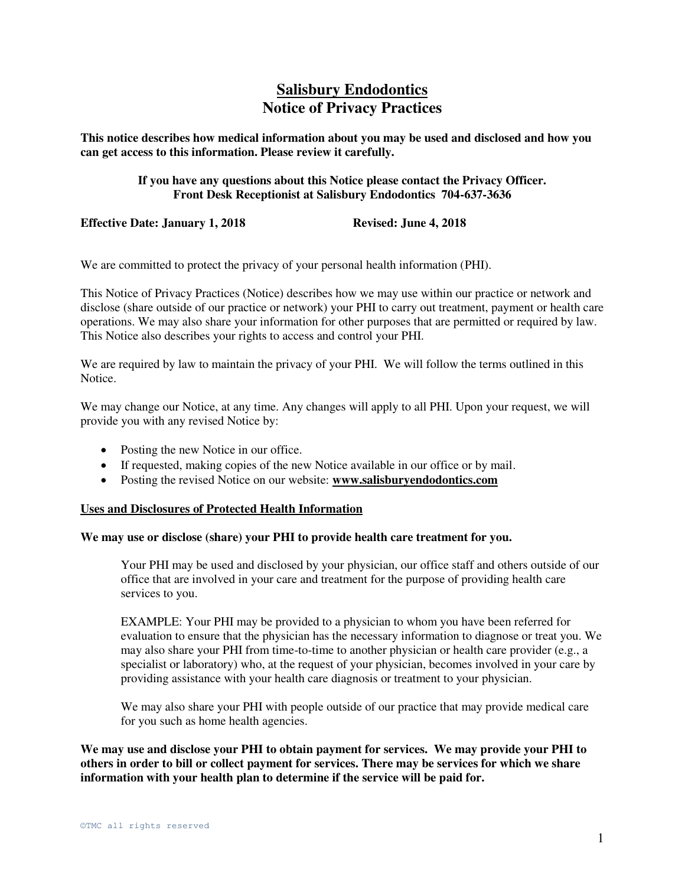# **Salisbury Endodontics Notice of Privacy Practices**

**This notice describes how medical information about you may be used and disclosed and how you can get access to this information. Please review it carefully.** 

> **If you have any questions about this Notice please contact the Privacy Officer. Front Desk Receptionist at Salisbury Endodontics 704-637-3636**

**Effective Date: January 1, 2018** Revised: June 4, 2018

We are committed to protect the privacy of your personal health information (PHI).

This Notice of Privacy Practices (Notice) describes how we may use within our practice or network and disclose (share outside of our practice or network) your PHI to carry out treatment, payment or health care operations. We may also share your information for other purposes that are permitted or required by law. This Notice also describes your rights to access and control your PHI.

We are required by law to maintain the privacy of your PHI. We will follow the terms outlined in this Notice.

We may change our Notice, at any time. Any changes will apply to all PHI. Upon your request, we will provide you with any revised Notice by:

- Posting the new Notice in our office.
- If requested, making copies of the new Notice available in our office or by mail.
- Posting the revised Notice on our website: **www.salisburyendodontics.com**

### **Uses and Disclosures of Protected Health Information**

### **We may use or disclose (share) your PHI to provide health care treatment for you.**

Your PHI may be used and disclosed by your physician, our office staff and others outside of our office that are involved in your care and treatment for the purpose of providing health care services to you.

EXAMPLE: Your PHI may be provided to a physician to whom you have been referred for evaluation to ensure that the physician has the necessary information to diagnose or treat you. We may also share your PHI from time-to-time to another physician or health care provider (e.g., a specialist or laboratory) who, at the request of your physician, becomes involved in your care by providing assistance with your health care diagnosis or treatment to your physician.

We may also share your PHI with people outside of our practice that may provide medical care for you such as home health agencies.

**We may use and disclose your PHI to obtain payment for services. We may provide your PHI to others in order to bill or collect payment for services. There may be services for which we share information with your health plan to determine if the service will be paid for.**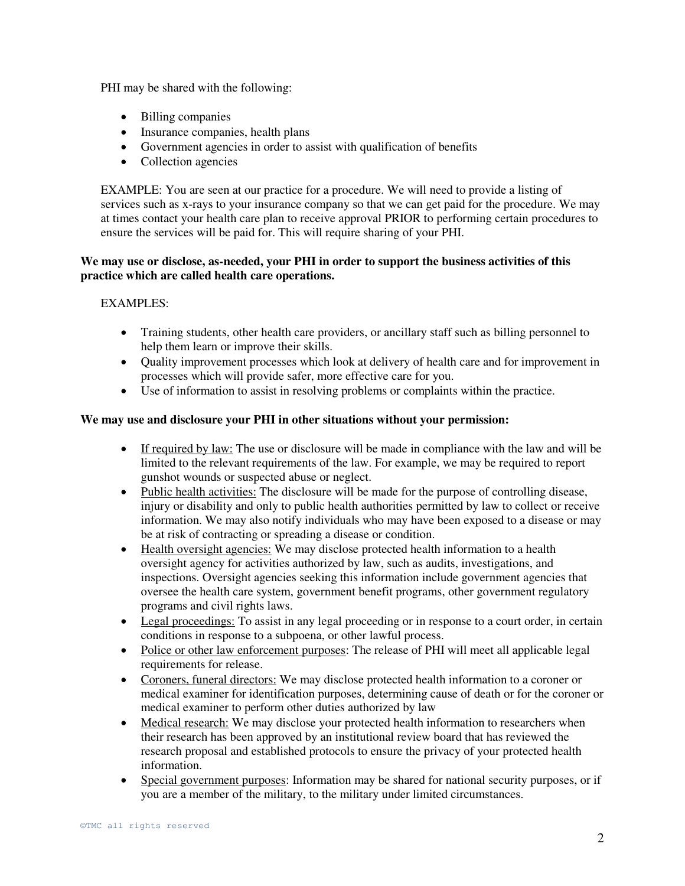PHI may be shared with the following:

- Billing companies
- Insurance companies, health plans
- Government agencies in order to assist with qualification of benefits
- Collection agencies

EXAMPLE: You are seen at our practice for a procedure. We will need to provide a listing of services such as x-rays to your insurance company so that we can get paid for the procedure. We may at times contact your health care plan to receive approval PRIOR to performing certain procedures to ensure the services will be paid for. This will require sharing of your PHI.

# **We may use or disclose, as-needed, your PHI in order to support the business activities of this practice which are called health care operations.**

# EXAMPLES:

- Training students, other health care providers, or ancillary staff such as billing personnel to help them learn or improve their skills.
- Quality improvement processes which look at delivery of health care and for improvement in processes which will provide safer, more effective care for you.
- Use of information to assist in resolving problems or complaints within the practice.

# **We may use and disclosure your PHI in other situations without your permission:**

- If required by law: The use or disclosure will be made in compliance with the law and will be limited to the relevant requirements of the law. For example, we may be required to report gunshot wounds or suspected abuse or neglect.
- Public health activities: The disclosure will be made for the purpose of controlling disease, injury or disability and only to public health authorities permitted by law to collect or receive information. We may also notify individuals who may have been exposed to a disease or may be at risk of contracting or spreading a disease or condition.
- Health oversight agencies: We may disclose protected health information to a health oversight agency for activities authorized by law, such as audits, investigations, and inspections. Oversight agencies seeking this information include government agencies that oversee the health care system, government benefit programs, other government regulatory programs and civil rights laws.
- Legal proceedings: To assist in any legal proceeding or in response to a court order, in certain conditions in response to a subpoena, or other lawful process.
- Police or other law enforcement purposes: The release of PHI will meet all applicable legal requirements for release.
- Coroners, funeral directors: We may disclose protected health information to a coroner or medical examiner for identification purposes, determining cause of death or for the coroner or medical examiner to perform other duties authorized by law
- Medical research: We may disclose your protected health information to researchers when their research has been approved by an institutional review board that has reviewed the research proposal and established protocols to ensure the privacy of your protected health information.
- Special government purposes: Information may be shared for national security purposes, or if you are a member of the military, to the military under limited circumstances.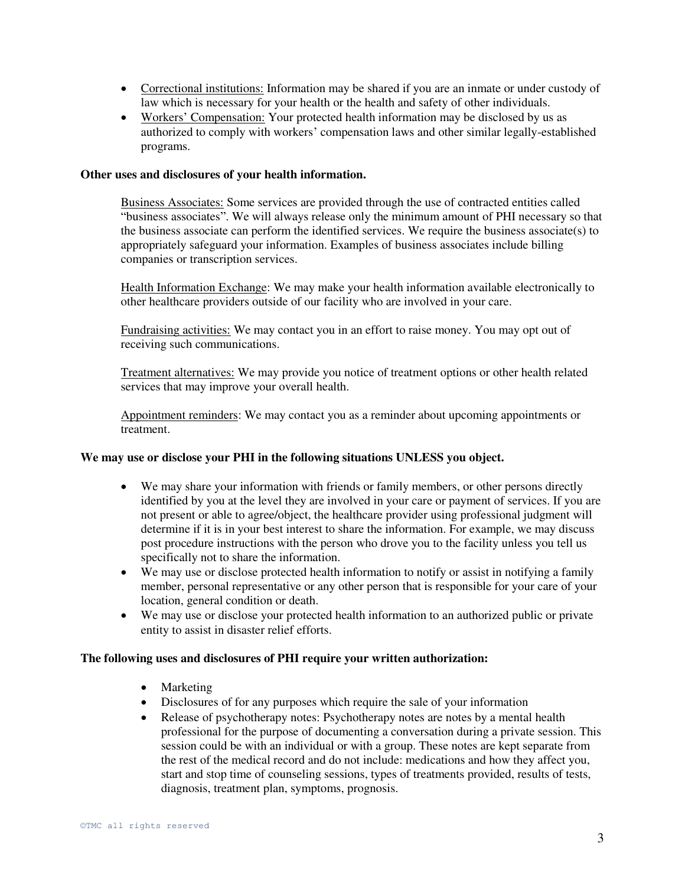- Correctional institutions: Information may be shared if you are an inmate or under custody of law which is necessary for your health or the health and safety of other individuals.
- Workers' Compensation: Your protected health information may be disclosed by us as authorized to comply with workers' compensation laws and other similar legally-established programs.

### **Other uses and disclosures of your health information.**

Business Associates: Some services are provided through the use of contracted entities called "business associates". We will always release only the minimum amount of PHI necessary so that the business associate can perform the identified services. We require the business associate(s) to appropriately safeguard your information. Examples of business associates include billing companies or transcription services.

Health Information Exchange: We may make your health information available electronically to other healthcare providers outside of our facility who are involved in your care.

Fundraising activities: We may contact you in an effort to raise money. You may opt out of receiving such communications.

Treatment alternatives: We may provide you notice of treatment options or other health related services that may improve your overall health.

Appointment reminders: We may contact you as a reminder about upcoming appointments or treatment.

### **We may use or disclose your PHI in the following situations UNLESS you object.**

- We may share your information with friends or family members, or other persons directly identified by you at the level they are involved in your care or payment of services. If you are not present or able to agree/object, the healthcare provider using professional judgment will determine if it is in your best interest to share the information. For example, we may discuss post procedure instructions with the person who drove you to the facility unless you tell us specifically not to share the information.
- We may use or disclose protected health information to notify or assist in notifying a family member, personal representative or any other person that is responsible for your care of your location, general condition or death.
- We may use or disclose your protected health information to an authorized public or private entity to assist in disaster relief efforts.

### **The following uses and disclosures of PHI require your written authorization:**

- Marketing
- Disclosures of for any purposes which require the sale of your information
- Release of psychotherapy notes: Psychotherapy notes are notes by a mental health professional for the purpose of documenting a conversation during a private session. This session could be with an individual or with a group. These notes are kept separate from the rest of the medical record and do not include: medications and how they affect you, start and stop time of counseling sessions, types of treatments provided, results of tests, diagnosis, treatment plan, symptoms, prognosis.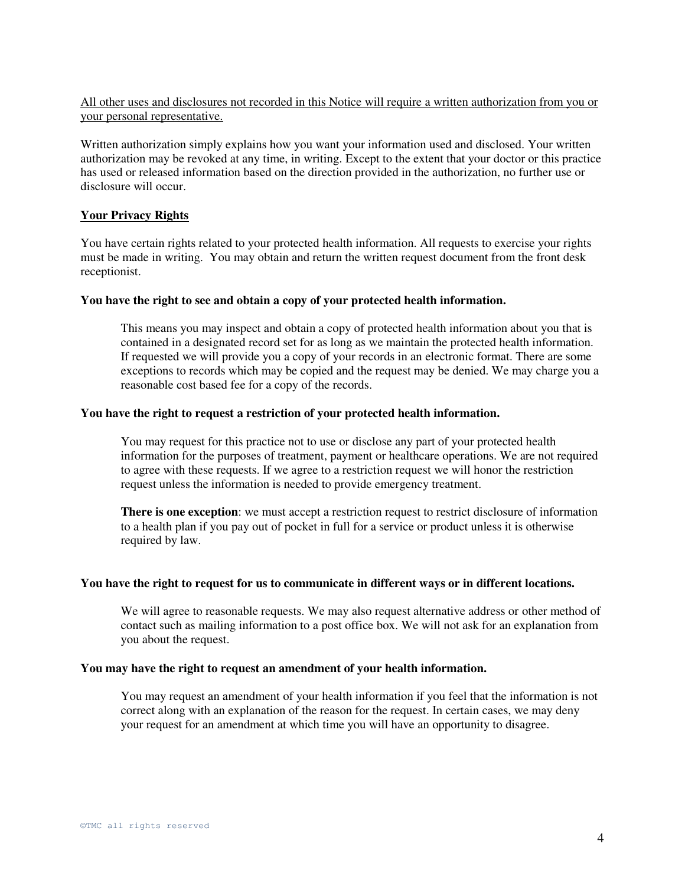# All other uses and disclosures not recorded in this Notice will require a written authorization from you or your personal representative.

Written authorization simply explains how you want your information used and disclosed. Your written authorization may be revoked at any time, in writing. Except to the extent that your doctor or this practice has used or released information based on the direction provided in the authorization, no further use or disclosure will occur.

# **Your Privacy Rights**

You have certain rights related to your protected health information. All requests to exercise your rights must be made in writing. You may obtain and return the written request document from the front desk receptionist.

# **You have the right to see and obtain a copy of your protected health information.**

This means you may inspect and obtain a copy of protected health information about you that is contained in a designated record set for as long as we maintain the protected health information. If requested we will provide you a copy of your records in an electronic format. There are some exceptions to records which may be copied and the request may be denied. We may charge you a reasonable cost based fee for a copy of the records.

### **You have the right to request a restriction of your protected health information.**

You may request for this practice not to use or disclose any part of your protected health information for the purposes of treatment, payment or healthcare operations. We are not required to agree with these requests. If we agree to a restriction request we will honor the restriction request unless the information is needed to provide emergency treatment.

**There is one exception**: we must accept a restriction request to restrict disclosure of information to a health plan if you pay out of pocket in full for a service or product unless it is otherwise required by law.

#### **You have the right to request for us to communicate in different ways or in different locations.**

We will agree to reasonable requests. We may also request alternative address or other method of contact such as mailing information to a post office box. We will not ask for an explanation from you about the request.

### **You may have the right to request an amendment of your health information.**

You may request an amendment of your health information if you feel that the information is not correct along with an explanation of the reason for the request. In certain cases, we may deny your request for an amendment at which time you will have an opportunity to disagree.